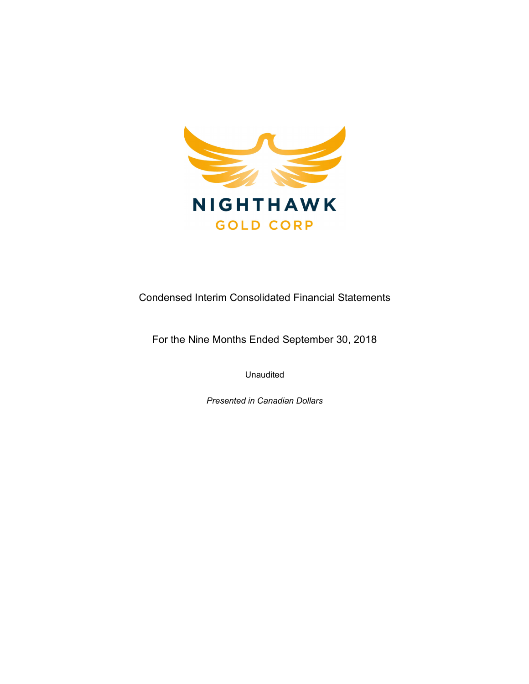

Condensed Interim Consolidated Financial Statements

For the Nine Months Ended September 30, 2018

Unaudited

Presented in Canadian Dollars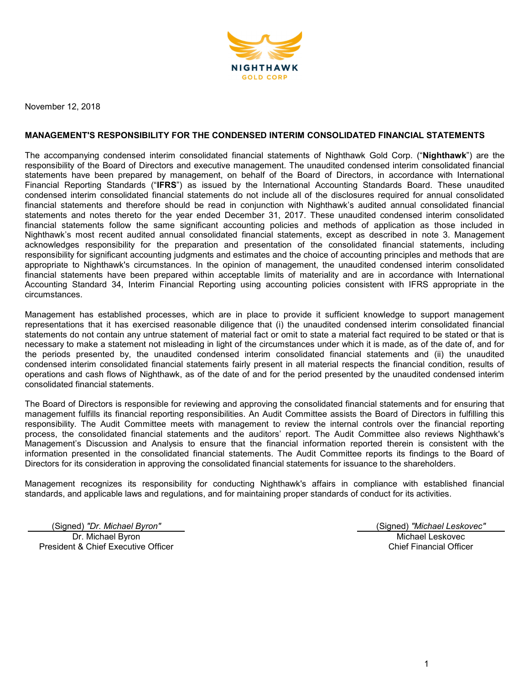

November 12, 2018

### MANAGEMENT'S RESPONSIBILITY FOR THE CONDENSED INTERIM CONSOLIDATED FINANCIAL STATEMENTS

The accompanying condensed interim consolidated financial statements of Nighthawk Gold Corp. ("Nighthawk") are the responsibility of the Board of Directors and executive management. The unaudited condensed interim consolidated financial statements have been prepared by management, on behalf of the Board of Directors, in accordance with International Financial Reporting Standards ("IFRS") as issued by the International Accounting Standards Board. These unaudited condensed interim consolidated financial statements do not include all of the disclosures required for annual consolidated financial statements and therefore should be read in conjunction with Nighthawk's audited annual consolidated financial statements and notes thereto for the year ended December 31, 2017. These unaudited condensed interim consolidated financial statements follow the same significant accounting policies and methods of application as those included in Nighthawk's most recent audited annual consolidated financial statements, except as described in note 3. Management acknowledges responsibility for the preparation and presentation of the consolidated financial statements, including responsibility for significant accounting judgments and estimates and the choice of accounting principles and methods that are appropriate to Nighthawk's circumstances. In the opinion of management, the unaudited condensed interim consolidated financial statements have been prepared within acceptable limits of materiality and are in accordance with International Accounting Standard 34, Interim Financial Reporting using accounting policies consistent with IFRS appropriate in the circumstances.

Management has established processes, which are in place to provide it sufficient knowledge to support management representations that it has exercised reasonable diligence that (i) the unaudited condensed interim consolidated financial statements do not contain any untrue statement of material fact or omit to state a material fact required to be stated or that is necessary to make a statement not misleading in light of the circumstances under which it is made, as of the date of, and for the periods presented by, the unaudited condensed interim consolidated financial statements and (ii) the unaudited condensed interim consolidated financial statements fairly present in all material respects the financial condition, results of operations and cash flows of Nighthawk, as of the date of and for the period presented by the unaudited condensed interim consolidated financial statements.

The Board of Directors is responsible for reviewing and approving the consolidated financial statements and for ensuring that management fulfills its financial reporting responsibilities. An Audit Committee assists the Board of Directors in fulfilling this responsibility. The Audit Committee meets with management to review the internal controls over the financial reporting process, the consolidated financial statements and the auditors' report. The Audit Committee also reviews Nighthawk's Management's Discussion and Analysis to ensure that the financial information reported therein is consistent with the information presented in the consolidated financial statements. The Audit Committee reports its findings to the Board of Directors for its consideration in approving the consolidated financial statements for issuance to the shareholders.

Management recognizes its responsibility for conducting Nighthawk's affairs in compliance with established financial standards, and applicable laws and regulations, and for maintaining proper standards of conduct for its activities.

(Signed) "Dr. Michael Byron" (Signed) "Michael Leskovec" Dr. Michael Byron President & Chief Executive Officer

Michael Leskovec Chief Financial Officer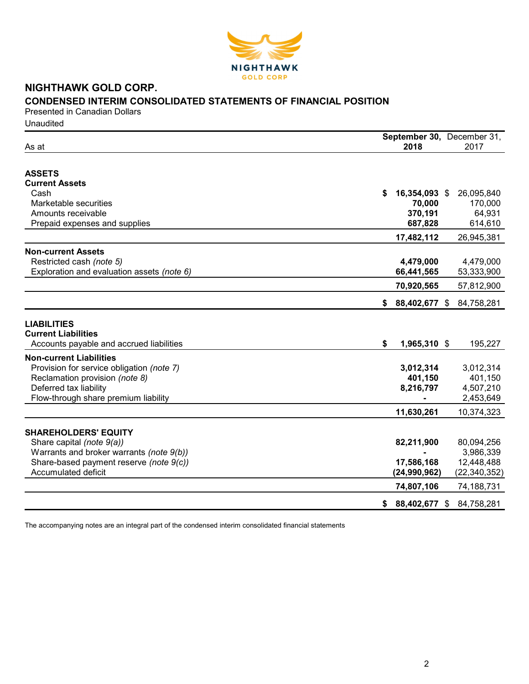

# CONDENSED INTERIM CONSOLIDATED STATEMENTS OF FINANCIAL POSITION

Presented in Canadian Dollars **Unaudited** 

| As at                                                                                        | 2018                | September 30, December 31,<br>2017 |
|----------------------------------------------------------------------------------------------|---------------------|------------------------------------|
|                                                                                              |                     |                                    |
| <b>ASSETS</b>                                                                                |                     |                                    |
| <b>Current Assets</b>                                                                        |                     |                                    |
| Cash                                                                                         | \$<br>16,354,093 \$ | 26,095,840                         |
| Marketable securities                                                                        | 70,000              | 170,000                            |
| Amounts receivable                                                                           | 370,191             | 64,931                             |
| Prepaid expenses and supplies                                                                | 687,828             | 614,610                            |
|                                                                                              | 17,482,112          | 26,945,381                         |
| <b>Non-current Assets</b>                                                                    |                     |                                    |
| Restricted cash (note 5)                                                                     | 4,479,000           | 4,479,000                          |
| Exploration and evaluation assets (note 6)                                                   | 66,441,565          | 53,333,900                         |
|                                                                                              | 70,920,565          | 57,812,900                         |
|                                                                                              | S.<br>88,402,677 \$ | 84,758,281                         |
| <b>LIABILITIES</b><br><b>Current Liabilities</b><br>Accounts payable and accrued liabilities | 1,965,310 \$<br>S.  | 195,227                            |
| <b>Non-current Liabilities</b>                                                               |                     |                                    |
| Provision for service obligation (note 7)                                                    | 3,012,314           | 3,012,314                          |
| Reclamation provision (note 8)                                                               | 401,150             | 401,150                            |
| Deferred tax liability                                                                       | 8,216,797           | 4,507,210                          |
| Flow-through share premium liability                                                         |                     | 2,453,649                          |
|                                                                                              | 11,630,261          | 10,374,323                         |
|                                                                                              |                     |                                    |
| <b>SHAREHOLDERS' EQUITY</b>                                                                  |                     | 80,094,256                         |
| Share capital (note 9(a))<br>Warrants and broker warrants (note 9(b))                        | 82,211,900          | 3,986,339                          |
| Share-based payment reserve (note 9(c))                                                      | 17,586,168          | 12,448,488                         |
| Accumulated deficit                                                                          | (24,990,962)        | (22, 340, 352)                     |
|                                                                                              | 74,807,106          | 74,188,731                         |
|                                                                                              |                     | 84,758,281                         |
|                                                                                              | $$88,402,677$ \$    |                                    |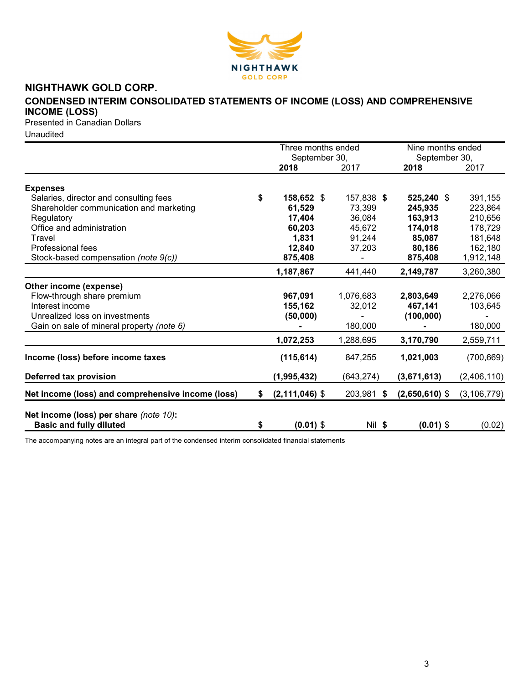

# CONDENSED INTERIM CONSOLIDATED STATEMENTS OF INCOME (LOSS) AND COMPREHENSIVE INCOME (LOSS)

Presented in Canadian Dollars

Unaudited

|                                                                          |    | Three months ended    |            | Nine months ended<br>September 30, |               |  |
|--------------------------------------------------------------------------|----|-----------------------|------------|------------------------------------|---------------|--|
|                                                                          |    | September 30,<br>2018 | 2017       | 2018                               | 2017          |  |
| <b>Expenses</b>                                                          |    |                       |            |                                    |               |  |
| Salaries, director and consulting fees                                   | \$ | 158,652 \$            | 157,838 \$ | 525,240 \$                         | 391,155       |  |
| Shareholder communication and marketing                                  |    | 61,529                | 73,399     | 245,935                            | 223,864       |  |
| Regulatory                                                               |    | 17,404                | 36,084     | 163,913                            | 210,656       |  |
| Office and administration                                                |    | 60,203                | 45,672     | 174,018                            | 178,729       |  |
| Travel                                                                   |    | 1,831                 | 91,244     | 85,087                             | 181,648       |  |
| Professional fees                                                        |    | 12,840                | 37,203     | 80,186                             | 162,180       |  |
|                                                                          |    |                       |            |                                    |               |  |
| Stock-based compensation (note 9(c))                                     |    | 875,408               |            | 875,408                            | 1,912,148     |  |
|                                                                          |    | 1,187,867             | 441,440    | 2,149,787                          | 3,260,380     |  |
| Other income (expense)                                                   |    |                       |            |                                    |               |  |
| Flow-through share premium                                               |    | 967,091               | 1,076,683  | 2,803,649                          | 2,276,066     |  |
| Interest income                                                          |    | 155,162               | 32,012     | 467,141                            | 103,645       |  |
| Unrealized loss on investments                                           |    | (50,000)              |            | (100, 000)                         |               |  |
| Gain on sale of mineral property (note 6)                                |    |                       | 180,000    |                                    | 180,000       |  |
|                                                                          |    | 1,072,253             | 1,288,695  | 3,170,790                          | 2,559,711     |  |
| Income (loss) before income taxes                                        |    | (115, 614)            | 847,255    | 1,021,003                          | (700, 669)    |  |
| Deferred tax provision                                                   |    | (1,995,432)           | (643, 274) | (3,671,613)                        | (2,406,110)   |  |
| Net income (loss) and comprehensive income (loss)                        | S. | $(2,111,046)$ \$      | 203,981 \$ | $(2,650,610)$ \$                   | (3, 106, 779) |  |
| Net income (loss) per share (note 10):<br><b>Basic and fully diluted</b> | \$ | $(0.01)$ \$           | Nil \$     | $(0.01)$ \$                        | (0.02)        |  |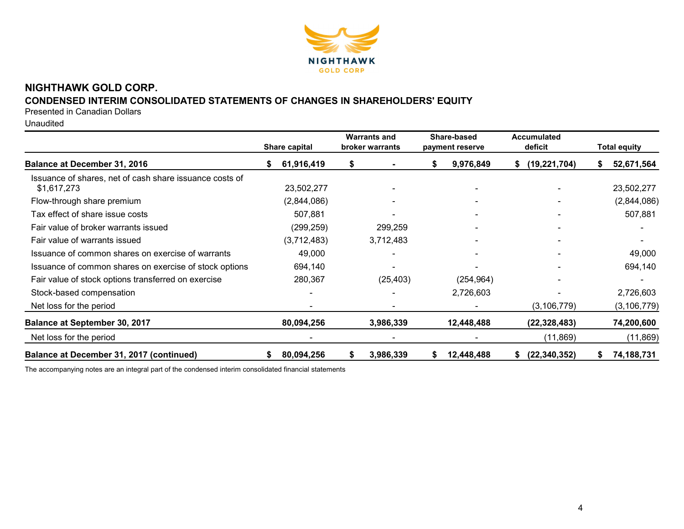

# CONDENSED INTERIM CONSOLIDATED STATEMENTS OF CHANGES IN SHAREHOLDERS' EQUITY

Presented in Canadian Dollars

Unaudited

|                                                                        |  | <b>Share capital</b> |    | <b>Warrants and</b><br>broker warrants |    | Share-based<br>payment reserve | <b>Accumulated</b><br>deficit | <b>Total equity</b> |               |
|------------------------------------------------------------------------|--|----------------------|----|----------------------------------------|----|--------------------------------|-------------------------------|---------------------|---------------|
| <b>Balance at December 31, 2016</b>                                    |  | 61,916,419           | \$ |                                        | S. | 9,976,849                      | (19, 221, 704)<br>\$          |                     | 52,671,564    |
| Issuance of shares, net of cash share issuance costs of<br>\$1,617,273 |  | 23,502,277           |    |                                        |    |                                |                               |                     | 23,502,277    |
| Flow-through share premium                                             |  | (2,844,086)          |    |                                        |    |                                |                               |                     | (2,844,086)   |
| Tax effect of share issue costs                                        |  | 507,881              |    |                                        |    |                                |                               |                     | 507,881       |
| Fair value of broker warrants issued                                   |  | (299,259)            |    | 299,259                                |    |                                |                               |                     |               |
| Fair value of warrants issued                                          |  | (3,712,483)          |    | 3,712,483                              |    |                                |                               |                     |               |
| Issuance of common shares on exercise of warrants                      |  | 49,000               |    | $\overline{\phantom{0}}$               |    | $\blacksquare$                 |                               |                     | 49,000        |
| Issuance of common shares on exercise of stock options                 |  | 694,140              |    |                                        |    |                                |                               |                     | 694,140       |
| Fair value of stock options transferred on exercise                    |  | 280,367              |    | (25, 403)                              |    | (254, 964)                     |                               |                     |               |
| Stock-based compensation                                               |  |                      |    |                                        |    | 2,726,603                      |                               |                     | 2,726,603     |
| Net loss for the period                                                |  |                      |    |                                        |    |                                | (3, 106, 779)                 |                     | (3, 106, 779) |
| <b>Balance at September 30, 2017</b>                                   |  | 80,094,256           |    | 3,986,339                              |    | 12,448,488                     | (22, 328, 483)                |                     | 74,200,600    |
| Net loss for the period                                                |  |                      |    |                                        |    |                                | (11, 869)                     |                     | (11, 869)     |
| Balance at December 31, 2017 (continued)                               |  | 80,094,256           | \$ | 3,986,339                              | \$ | 12,448,488                     | (22, 340, 352)                |                     | 74,188,731    |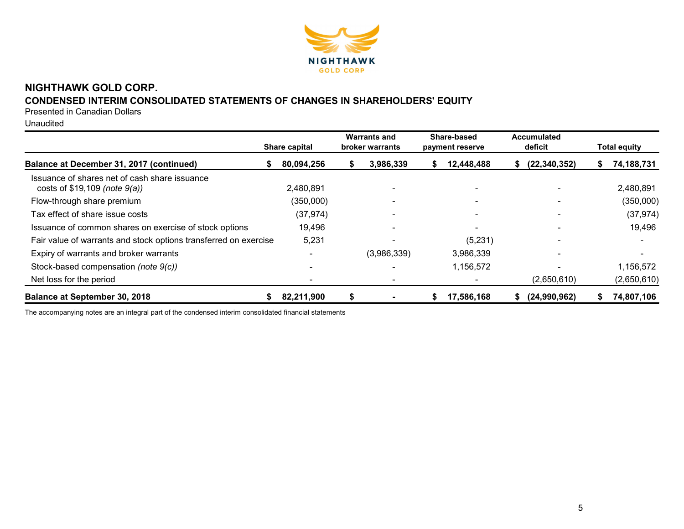

# CONDENSED INTERIM CONSOLIDATED STATEMENTS OF CHANGES IN SHAREHOLDERS' EQUITY

Presented in Canadian Dollars

Unaudited

|                                                                                    | Share capital |   | <b>Warrants and</b><br>broker warrants |    | Share-based<br>payment reserve | Accumulated<br>deficit |    | <b>Total equity</b> |
|------------------------------------------------------------------------------------|---------------|---|----------------------------------------|----|--------------------------------|------------------------|----|---------------------|
| Balance at December 31, 2017 (continued)                                           | 80,094,256    | S | 3,986,339                              | æ. | 12,448,488                     | (22, 340, 352)<br>Ĵэ.  | æ. | 74,188,731          |
| Issuance of shares net of cash share issuance<br>costs of $$19,109$ (note $9(a)$ ) | 2,480,891     |   |                                        |    |                                |                        |    | 2,480,891           |
| Flow-through share premium                                                         | (350,000)     |   |                                        |    |                                |                        |    | (350,000)           |
| Tax effect of share issue costs                                                    | (37, 974)     |   |                                        |    |                                |                        |    | (37, 974)           |
| Issuance of common shares on exercise of stock options                             | 19,496        |   | $\overline{\phantom{0}}$               |    | $\overline{\phantom{0}}$       |                        |    | 19,496              |
| Fair value of warrants and stock options transferred on exercise                   | 5,231         |   | $\overline{\phantom{0}}$               |    | (5,231)                        |                        |    |                     |
| Expiry of warrants and broker warrants                                             |               |   | (3,986,339)                            |    | 3,986,339                      |                        |    |                     |
| Stock-based compensation (note 9(c))                                               |               |   |                                        |    | 1,156,572                      |                        |    | 1,156,572           |
| Net loss for the period                                                            |               |   |                                        |    |                                | (2,650,610)            |    | (2,650,610)         |
| <b>Balance at September 30, 2018</b>                                               | 82,211,900    | S |                                        | S  | 17,586,168                     | (24,990,962)<br>S.     |    | 74,807,106          |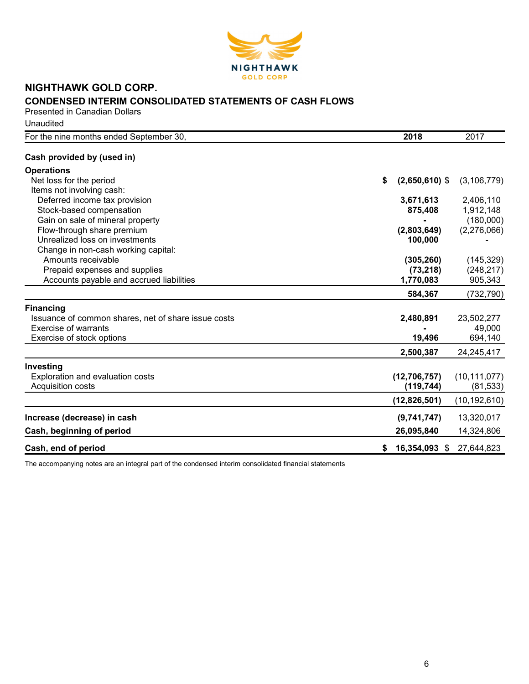

## NIGHTHAWK GOLD CORP. CONDENSED INTERIM CONSOLIDATED STATEMENTS OF CASH FLOWS Presented in Canadian Dollars

**Unaudited** 

| For the nine months ended September 30,             | 2018                   | 2017           |
|-----------------------------------------------------|------------------------|----------------|
| Cash provided by (used in)                          |                        |                |
| <b>Operations</b>                                   |                        |                |
| Net loss for the period                             | $(2,650,610)$ \$<br>\$ | (3, 106, 779)  |
| Items not involving cash:                           |                        |                |
| Deferred income tax provision                       | 3,671,613              | 2,406,110      |
| Stock-based compensation                            | 875,408                | 1,912,148      |
| Gain on sale of mineral property                    |                        | (180,000)      |
| Flow-through share premium                          | (2,803,649)            | (2,276,066)    |
| Unrealized loss on investments                      | 100,000                |                |
| Change in non-cash working capital:                 |                        |                |
| Amounts receivable                                  | (305, 260)             | (145, 329)     |
| Prepaid expenses and supplies                       | (73, 218)              | (248, 217)     |
| Accounts payable and accrued liabilities            | 1,770,083              | 905,343        |
|                                                     | 584,367                | (732, 790)     |
| <b>Financing</b>                                    |                        |                |
| Issuance of common shares, net of share issue costs | 2,480,891              | 23,502,277     |
| Exercise of warrants                                |                        | 49,000         |
| Exercise of stock options                           | 19,496                 | 694,140        |
|                                                     | 2,500,387              | 24,245,417     |
| Investing                                           |                        |                |
| Exploration and evaluation costs                    | (12,706,757)           | (10, 111, 077) |
| Acquisition costs                                   | (119, 744)             | (81, 533)      |
|                                                     | (12,826,501)           | (10,192,610)   |
| Increase (decrease) in cash                         | (9,741,747)            | 13,320,017     |
| Cash, beginning of period                           | 26,095,840             | 14,324,806     |
|                                                     |                        |                |
| Cash, end of period                                 | 16,354,093 \$<br>\$    | 27,644,823     |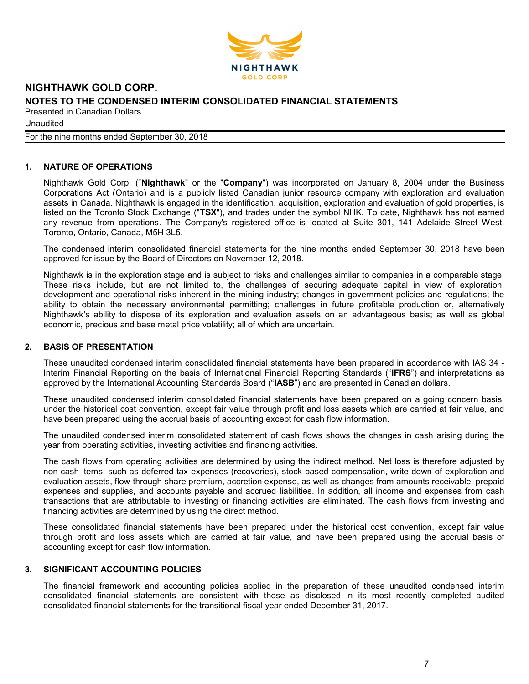

Unaudited

For the nine months ended September 30, 2018

## 1. NATURE OF OPERATIONS

Nighthawk Gold Corp. ("Nighthawk" or the "Company") was incorporated on January 8, 2004 under the Business Corporations Act (Ontario) and is a publicly listed Canadian junior resource company with exploration and evaluation assets in Canada. Nighthawk is engaged in the identification, acquisition, exploration and evaluation of gold properties, is listed on the Toronto Stock Exchange ("TSX"), and trades under the symbol NHK. To date, Nighthawk has not earned any revenue from operations. The Company's registered office is located at Suite 301, 141 Adelaide Street West, Toronto, Ontario, Canada, M5H 3L5.

The condensed interim consolidated financial statements for the nine months ended September 30, 2018 have been approved for issue by the Board of Directors on November 12, 2018.

Nighthawk is in the exploration stage and is subject to risks and challenges similar to companies in a comparable stage. These risks include, but are not limited to, the challenges of securing adequate capital in view of exploration, development and operational risks inherent in the mining industry; changes in government policies and regulations; the ability to obtain the necessary environmental permitting; challenges in future profitable production or, alternatively Nighthawk's ability to dispose of its exploration and evaluation assets on an advantageous basis; as well as global economic, precious and base metal price volatility; all of which are uncertain.

#### 2. BASIS OF PRESENTATION

These unaudited condensed interim consolidated financial statements have been prepared in accordance with IAS 34 - Interim Financial Reporting on the basis of International Financial Reporting Standards ("IFRS") and interpretations as approved by the International Accounting Standards Board ("IASB") and are presented in Canadian dollars.

These unaudited condensed interim consolidated financial statements have been prepared on a going concern basis, under the historical cost convention, except fair value through profit and loss assets which are carried at fair value, and have been prepared using the accrual basis of accounting except for cash flow information.

The unaudited condensed interim consolidated statement of cash flows shows the changes in cash arising during the year from operating activities, investing activities and financing activities.

The cash flows from operating activities are determined by using the indirect method. Net loss is therefore adjusted by non-cash items, such as deferred tax expenses (recoveries), stock-based compensation, write-down of exploration and evaluation assets, flow-through share premium, accretion expense, as well as changes from amounts receivable, prepaid expenses and supplies, and accounts payable and accrued liabilities. In addition, all income and expenses from cash transactions that are attributable to investing or financing activities are eliminated. The cash flows from investing and financing activities are determined by using the direct method.

These consolidated financial statements have been prepared under the historical cost convention, except fair value through profit and loss assets which are carried at fair value, and have been prepared using the accrual basis of accounting except for cash flow information.

#### 3. SIGNIFICANT ACCOUNTING POLICIES

The financial framework and accounting policies applied in the preparation of these unaudited condensed interim consolidated financial statements are consistent with those as disclosed in its most recently completed audited consolidated financial statements for the transitional fiscal year ended December 31, 2017.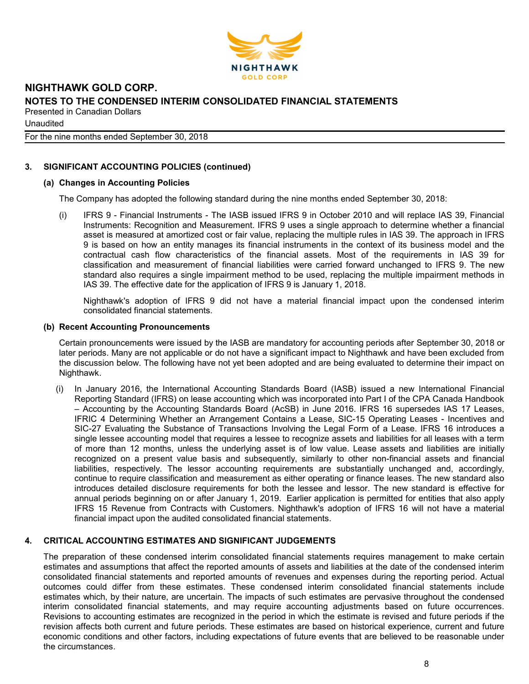

**Unaudited** 

For the nine months ended September 30, 2018

## 3. SIGNIFICANT ACCOUNTING POLICIES (continued)

## (a) Changes in Accounting Policies

The Company has adopted the following standard during the nine months ended September 30, 2018:

(i) IFRS 9 - Financial Instruments - The IASB issued IFRS 9 in October 2010 and will replace IAS 39, Financial Instruments: Recognition and Measurement. IFRS 9 uses a single approach to determine whether a financial asset is measured at amortized cost or fair value, replacing the multiple rules in IAS 39. The approach in IFRS 9 is based on how an entity manages its financial instruments in the context of its business model and the contractual cash flow characteristics of the financial assets. Most of the requirements in IAS 39 for classification and measurement of financial liabilities were carried forward unchanged to IFRS 9. The new standard also requires a single impairment method to be used, replacing the multiple impairment methods in IAS 39. The effective date for the application of IFRS 9 is January 1, 2018.

Nighthawk's adoption of IFRS 9 did not have a material financial impact upon the condensed interim consolidated financial statements.

#### (b) Recent Accounting Pronouncements

Certain pronouncements were issued by the IASB are mandatory for accounting periods after September 30, 2018 or later periods. Many are not applicable or do not have a significant impact to Nighthawk and have been excluded from the discussion below. The following have not yet been adopted and are being evaluated to determine their impact on Nighthawk.

(i) In January 2016, the International Accounting Standards Board (IASB) issued a new International Financial Reporting Standard (IFRS) on lease accounting which was incorporated into Part I of the CPA Canada Handbook – Accounting by the Accounting Standards Board (AcSB) in June 2016. IFRS 16 supersedes IAS 17 Leases, IFRIC 4 Determining Whether an Arrangement Contains a Lease, SIC-15 Operating Leases - Incentives and SIC-27 Evaluating the Substance of Transactions Involving the Legal Form of a Lease. IFRS 16 introduces a single lessee accounting model that requires a lessee to recognize assets and liabilities for all leases with a term of more than 12 months, unless the underlying asset is of low value. Lease assets and liabilities are initially recognized on a present value basis and subsequently, similarly to other non-financial assets and financial liabilities, respectively. The lessor accounting requirements are substantially unchanged and, accordingly, continue to require classification and measurement as either operating or finance leases. The new standard also introduces detailed disclosure requirements for both the lessee and lessor. The new standard is effective for annual periods beginning on or after January 1, 2019. Earlier application is permitted for entities that also apply IFRS 15 Revenue from Contracts with Customers. Nighthawk's adoption of IFRS 16 will not have a material financial impact upon the audited consolidated financial statements.

#### 4. CRITICAL ACCOUNTING ESTIMATES AND SIGNIFICANT JUDGEMENTS

The preparation of these condensed interim consolidated financial statements requires management to make certain estimates and assumptions that affect the reported amounts of assets and liabilities at the date of the condensed interim consolidated financial statements and reported amounts of revenues and expenses during the reporting period. Actual outcomes could differ from these estimates. These condensed interim consolidated financial statements include estimates which, by their nature, are uncertain. The impacts of such estimates are pervasive throughout the condensed interim consolidated financial statements, and may require accounting adjustments based on future occurrences. Revisions to accounting estimates are recognized in the period in which the estimate is revised and future periods if the revision affects both current and future periods. These estimates are based on historical experience, current and future economic conditions and other factors, including expectations of future events that are believed to be reasonable under the circumstances.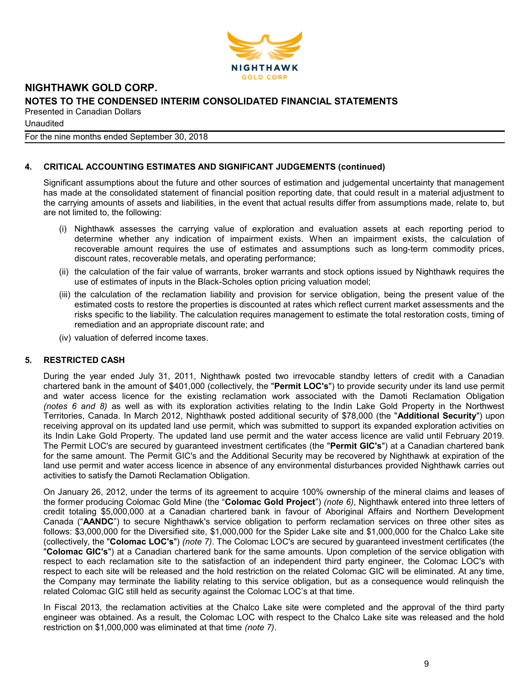

**Unaudited** 

For the nine months ended September 30, 2018

## 4. CRITICAL ACCOUNTING ESTIMATES AND SIGNIFICANT JUDGEMENTS (continued)

Significant assumptions about the future and other sources of estimation and judgemental uncertainty that management has made at the consolidated statement of financial position reporting date, that could result in a material adjustment to the carrying amounts of assets and liabilities, in the event that actual results differ from assumptions made, relate to, but are not limited to, the following:

- (i) Nighthawk assesses the carrying value of exploration and evaluation assets at each reporting period to determine whether any indication of impairment exists. When an impairment exists, the calculation of recoverable amount requires the use of estimates and assumptions such as long-term commodity prices, discount rates, recoverable metals, and operating performance;
- (ii) the calculation of the fair value of warrants, broker warrants and stock options issued by Nighthawk requires the use of estimates of inputs in the Black-Scholes option pricing valuation model;
- (iii) the calculation of the reclamation liability and provision for service obligation, being the present value of the estimated costs to restore the properties is discounted at rates which reflect current market assessments and the risks specific to the liability. The calculation requires management to estimate the total restoration costs, timing of remediation and an appropriate discount rate; and
- (iv) valuation of deferred income taxes.

## 5. RESTRICTED CASH

During the year ended July 31, 2011, Nighthawk posted two irrevocable standby letters of credit with a Canadian chartered bank in the amount of \$401,000 (collectively, the "Permit LOC's") to provide security under its land use permit and water access licence for the existing reclamation work associated with the Damoti Reclamation Obligation (notes 6 and 8) as well as with its exploration activities relating to the Indin Lake Gold Property in the Northwest Territories, Canada. In March 2012, Nighthawk posted additional security of \$78,000 (the "Additional Security") upon receiving approval on its updated land use permit, which was submitted to support its expanded exploration activities on its Indin Lake Gold Property. The updated land use permit and the water access licence are valid until February 2019. The Permit LOC's are secured by guaranteed investment certificates (the "Permit GIC's") at a Canadian chartered bank for the same amount. The Permit GIC's and the Additional Security may be recovered by Nighthawk at expiration of the land use permit and water access licence in absence of any environmental disturbances provided Nighthawk carries out activities to satisfy the Damoti Reclamation Obligation.

On January 26, 2012, under the terms of its agreement to acquire 100% ownership of the mineral claims and leases of the former producing Colomac Gold Mine (the "Colomac Gold Project") (note 6), Nighthawk entered into three letters of credit totaling \$5,000,000 at a Canadian chartered bank in favour of Aboriginal Affairs and Northern Development Canada ("AANDC") to secure Nighthawk's service obligation to perform reclamation services on three other sites as follows: \$3,000,000 for the Diversified site, \$1,000,000 for the Spider Lake site and \$1,000,000 for the Chalco Lake site (collectively, the "Colomac LOC's") (note 7). The Colomac LOC's are secured by guaranteed investment certificates (the "Colomac GIC's") at a Canadian chartered bank for the same amounts. Upon completion of the service obligation with respect to each reclamation site to the satisfaction of an independent third party engineer, the Colomac LOC's with respect to each site will be released and the hold restriction on the related Colomac GIC will be eliminated. At any time, the Company may terminate the liability relating to this service obligation, but as a consequence would relinquish the related Colomac GIC still held as security against the Colomac LOC's at that time.

In Fiscal 2013, the reclamation activities at the Chalco Lake site were completed and the approval of the third party engineer was obtained. As a result, the Colomac LOC with respect to the Chalco Lake site was released and the hold restriction on \$1,000,000 was eliminated at that time (note 7).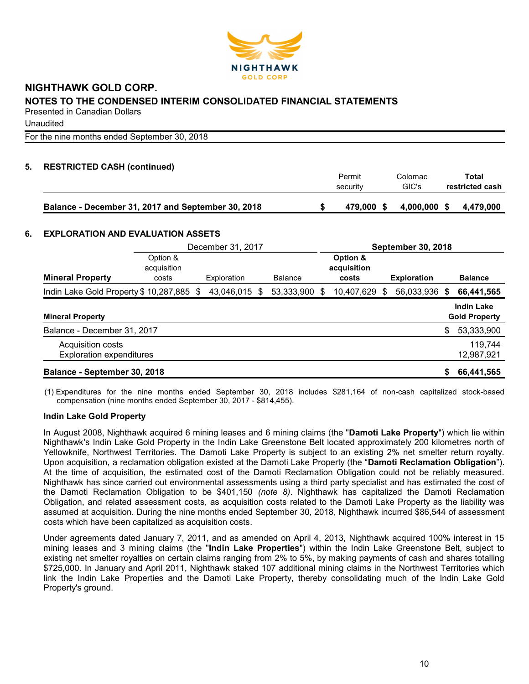

**Unaudited** 

For the nine months ended September 30, 2018

## 5. RESTRICTED CASH (continued)

|                                                    | Permit<br>security | Colomac<br>GIC's | Total<br>restricted cash |
|----------------------------------------------------|--------------------|------------------|--------------------------|
| Balance - December 31, 2017 and September 30, 2018 | 479.000 \$         | 4,000,000 \$     | 4.479.000                |

### 6. EXPLORATION AND EVALUATION ASSETS

|                                          | December 31, 2017 |  |             | <b>September 30, 2018</b> |                |   |             |     |                    |      |                      |
|------------------------------------------|-------------------|--|-------------|---------------------------|----------------|---|-------------|-----|--------------------|------|----------------------|
|                                          | Option &          |  |             |                           |                |   | Option &    |     |                    |      |                      |
|                                          | acquisition       |  |             |                           |                |   | acquisition |     |                    |      |                      |
| <b>Mineral Property</b>                  | costs             |  | Exploration |                           | <b>Balance</b> |   | costs       |     | <b>Exploration</b> |      | <b>Balance</b>       |
| Indin Lake Gold Property \$10,287,885 \$ |                   |  | 43,046,015  | - \$                      | 53,333,900     | S | 10,407,629  | \$. | 56,033,936         | - \$ | 66,441,565           |
|                                          |                   |  |             |                           |                |   |             |     |                    |      | <b>Indin Lake</b>    |
| <b>Mineral Property</b>                  |                   |  |             |                           |                |   |             |     |                    |      | <b>Gold Property</b> |
| Balance - December 31, 2017              |                   |  |             |                           |                |   |             |     |                    | \$   | 53,333,900           |
| Acquisition costs                        |                   |  |             |                           |                |   |             |     |                    |      | 119,744              |
| <b>Exploration expenditures</b>          |                   |  |             |                           |                |   |             |     |                    |      | 12,987,921           |
| Balance - September 30, 2018             |                   |  |             |                           |                |   |             |     |                    | \$   | 66,441,565           |

(1) Expenditures for the nine months ended September 30, 2018 includes \$281,164 of non-cash capitalized stock-based compensation (nine months ended September 30, 2017 - \$814,455).

## Indin Lake Gold Property

In August 2008, Nighthawk acquired 6 mining leases and 6 mining claims (the "Damoti Lake Property") which lie within Nighthawk's Indin Lake Gold Property in the Indin Lake Greenstone Belt located approximately 200 kilometres north of Yellowknife, Northwest Territories. The Damoti Lake Property is subject to an existing 2% net smelter return royalty. Upon acquisition, a reclamation obligation existed at the Damoti Lake Property (the "Damoti Reclamation Obligation"). At the time of acquisition, the estimated cost of the Damoti Reclamation Obligation could not be reliably measured. Nighthawk has since carried out environmental assessments using a third party specialist and has estimated the cost of the Damoti Reclamation Obligation to be \$401,150 (note 8). Nighthawk has capitalized the Damoti Reclamation Obligation, and related assessment costs, as acquisition costs related to the Damoti Lake Property as the liability was assumed at acquisition. During the nine months ended September 30, 2018, Nighthawk incurred \$86,544 of assessment costs which have been capitalized as acquisition costs.

Under agreements dated January 7, 2011, and as amended on April 4, 2013, Nighthawk acquired 100% interest in 15 mining leases and 3 mining claims (the "Indin Lake Properties") within the Indin Lake Greenstone Belt, subject to existing net smelter royalties on certain claims ranging from 2% to 5%, by making payments of cash and shares totalling \$725,000. In January and April 2011, Nighthawk staked 107 additional mining claims in the Northwest Territories which link the Indin Lake Properties and the Damoti Lake Property, thereby consolidating much of the Indin Lake Gold Property's ground.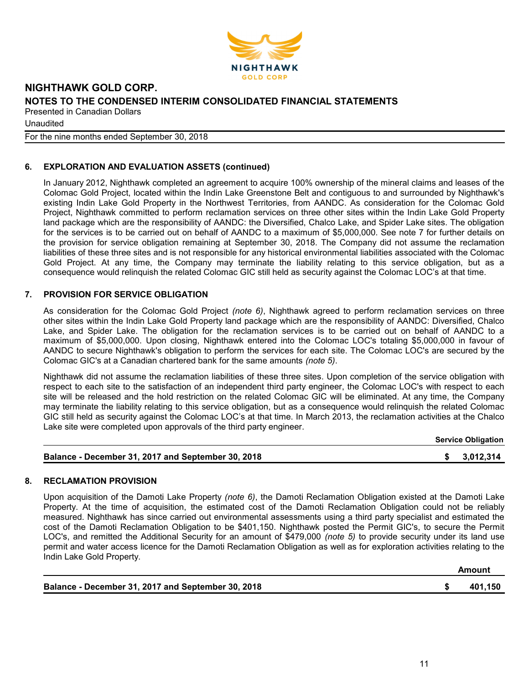

**Unaudited** 

For the nine months ended September 30, 2018

## 6. EXPLORATION AND EVALUATION ASSETS (continued)

In January 2012, Nighthawk completed an agreement to acquire 100% ownership of the mineral claims and leases of the Colomac Gold Project, located within the Indin Lake Greenstone Belt and contiguous to and surrounded by Nighthawk's existing Indin Lake Gold Property in the Northwest Territories, from AANDC. As consideration for the Colomac Gold Project, Nighthawk committed to perform reclamation services on three other sites within the Indin Lake Gold Property land package which are the responsibility of AANDC: the Diversified, Chalco Lake, and Spider Lake sites. The obligation for the services is to be carried out on behalf of AANDC to a maximum of \$5,000,000. See note 7 for further details on the provision for service obligation remaining at September 30, 2018. The Company did not assume the reclamation liabilities of these three sites and is not responsible for any historical environmental liabilities associated with the Colomac Gold Project. At any time, the Company may terminate the liability relating to this service obligation, but as a consequence would relinquish the related Colomac GIC still held as security against the Colomac LOC's at that time.

## 7. PROVISION FOR SERVICE OBLIGATION

As consideration for the Colomac Gold Project (note 6), Nighthawk agreed to perform reclamation services on three other sites within the Indin Lake Gold Property land package which are the responsibility of AANDC: Diversified, Chalco Lake, and Spider Lake. The obligation for the reclamation services is to be carried out on behalf of AANDC to a maximum of \$5,000,000. Upon closing, Nighthawk entered into the Colomac LOC's totaling \$5,000,000 in favour of AANDC to secure Nighthawk's obligation to perform the services for each site. The Colomac LOC's are secured by the Colomac GIC's at a Canadian chartered bank for the same amounts (note 5).

Nighthawk did not assume the reclamation liabilities of these three sites. Upon completion of the service obligation with respect to each site to the satisfaction of an independent third party engineer, the Colomac LOC's with respect to each site will be released and the hold restriction on the related Colomac GIC will be eliminated. At any time, the Company may terminate the liability relating to this service obligation, but as a consequence would relinquish the related Colomac GIC still held as security against the Colomac LOC's at that time. In March 2013, the reclamation activities at the Chalco Lake site were completed upon approvals of the third party engineer.

|                                                    | <b>Service Obligation</b> |
|----------------------------------------------------|---------------------------|
| Balance - December 31, 2017 and September 30, 2018 | 3,012,314                 |

#### 8. RECLAMATION PROVISION

Upon acquisition of the Damoti Lake Property (note 6), the Damoti Reclamation Obligation existed at the Damoti Lake Property. At the time of acquisition, the estimated cost of the Damoti Reclamation Obligation could not be reliably measured. Nighthawk has since carried out environmental assessments using a third party specialist and estimated the cost of the Damoti Reclamation Obligation to be \$401,150. Nighthawk posted the Permit GIC's, to secure the Permit LOC's, and remitted the Additional Security for an amount of \$479,000 (note 5) to provide security under its land use permit and water access licence for the Damoti Reclamation Obligation as well as for exploration activities relating to the Indin Lake Gold Property.

| Balance - December 31, 2017 and September 30, 2018 | 401,150 |
|----------------------------------------------------|---------|

Amount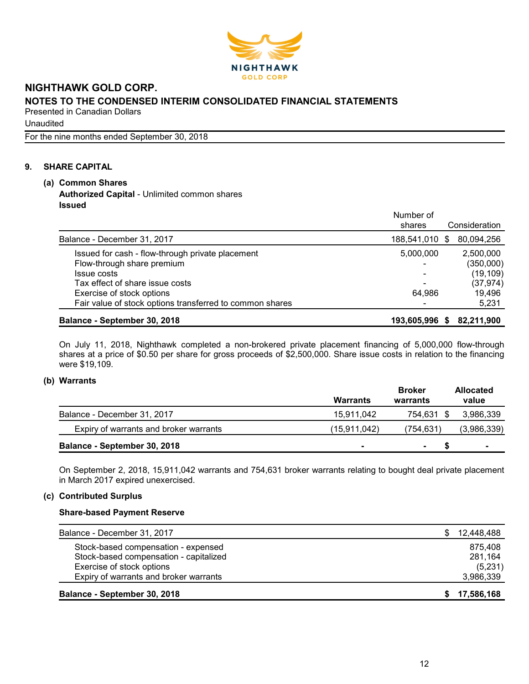

Unaudited

For the nine months ended September 30, 2018

## 9. SHARE CAPITAL

## (a) Common Shares Authorized Capital - Unlimited common shares Issued

|                                                          | Number of<br>shares | Consideration |
|----------------------------------------------------------|---------------------|---------------|
| Balance - December 31, 2017                              | 188,541,010 \$      | 80,094,256    |
| Issued for cash - flow-through private placement         | 5,000,000           | 2,500,000     |
| Flow-through share premium                               | -                   | (350,000)     |
| Issue costs                                              | -                   | (19, 109)     |
| Tax effect of share issue costs                          |                     | (37, 974)     |
| Exercise of stock options                                | 64.986              | 19,496        |
| Fair value of stock options transferred to common shares |                     | 5,231         |
| Balance - September 30, 2018                             | 193,605,996<br>S.   | 82,211,900    |

On July 11, 2018, Nighthawk completed a non-brokered private placement financing of 5,000,000 flow-through shares at a price of \$0.50 per share for gross proceeds of \$2,500,000. Share issue costs in relation to the financing were \$19,109.

#### (b) Warrants

|                                        | <b>Warrants</b> | <b>Broker</b><br>warrants | <b>Allocated</b><br>value |
|----------------------------------------|-----------------|---------------------------|---------------------------|
| Balance - December 31, 2017            | 15.911.042      | 754.631 \$                | 3,986,339                 |
| Expiry of warrants and broker warrants | (15, 911, 042)  | (754, 631)                | (3,986,339)               |
| Balance - September 30, 2018           | ۰               | $\blacksquare$            | $\blacksquare$            |

On September 2, 2018, 15,911,042 warrants and 754,631 broker warrants relating to bought deal private placement in March 2017 expired unexercised.

## (c) Contributed Surplus

## Share-based Payment Reserve

| Balance - September 30, 2018           | 17,586,168 |
|----------------------------------------|------------|
| Expiry of warrants and broker warrants | 3,986,339  |
| Exercise of stock options              | (5,231)    |
| Stock-based compensation - capitalized | 281,164    |
| Stock-based compensation - expensed    | 875.408    |
| Balance - December 31, 2017            | 12,448,488 |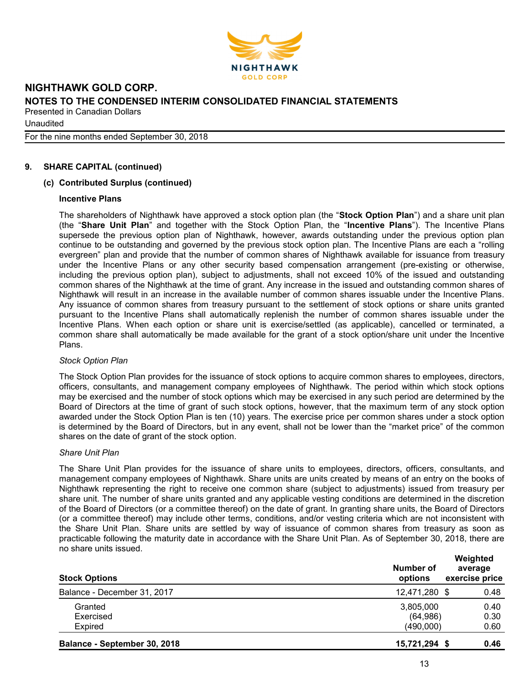

**Unaudited** 

For the nine months ended September 30, 2018

#### 9. SHARE CAPITAL (continued)

#### (c) Contributed Surplus (continued)

#### Incentive Plans

The shareholders of Nighthawk have approved a stock option plan (the "Stock Option Plan") and a share unit plan (the "Share Unit Plan" and together with the Stock Option Plan, the "Incentive Plans"). The Incentive Plans supersede the previous option plan of Nighthawk, however, awards outstanding under the previous option plan continue to be outstanding and governed by the previous stock option plan. The Incentive Plans are each a "rolling evergreen" plan and provide that the number of common shares of Nighthawk available for issuance from treasury under the Incentive Plans or any other security based compensation arrangement (pre-existing or otherwise, including the previous option plan), subject to adjustments, shall not exceed 10% of the issued and outstanding common shares of the Nighthawk at the time of grant. Any increase in the issued and outstanding common shares of Nighthawk will result in an increase in the available number of common shares issuable under the Incentive Plans. Any issuance of common shares from treasury pursuant to the settlement of stock options or share units granted pursuant to the Incentive Plans shall automatically replenish the number of common shares issuable under the Incentive Plans. When each option or share unit is exercise/settled (as applicable), cancelled or terminated, a common share shall automatically be made available for the grant of a stock option/share unit under the Incentive Plans.

#### Stock Option Plan

The Stock Option Plan provides for the issuance of stock options to acquire common shares to employees, directors, officers, consultants, and management company employees of Nighthawk. The period within which stock options may be exercised and the number of stock options which may be exercised in any such period are determined by the Board of Directors at the time of grant of such stock options, however, that the maximum term of any stock option awarded under the Stock Option Plan is ten (10) years. The exercise price per common shares under a stock option is determined by the Board of Directors, but in any event, shall not be lower than the "market price" of the common shares on the date of grant of the stock option.

#### Share Unit Plan

The Share Unit Plan provides for the issuance of share units to employees, directors, officers, consultants, and management company employees of Nighthawk. Share units are units created by means of an entry on the books of Nighthawk representing the right to receive one common share (subject to adjustments) issued from treasury per share unit. The number of share units granted and any applicable vesting conditions are determined in the discretion of the Board of Directors (or a committee thereof) on the date of grant. In granting share units, the Board of Directors (or a committee thereof) may include other terms, conditions, and/or vesting criteria which are not inconsistent with the Share Unit Plan. Share units are settled by way of issuance of common shares from treasury as soon as practicable following the maturity date in accordance with the Share Unit Plan. As of September 30, 2018, there are no share units issued.

| Number of<br>options | Weighted<br>average<br>exercise price                    |
|----------------------|----------------------------------------------------------|
|                      | 0.48                                                     |
| 3,805,000            | 0.40                                                     |
|                      | 0.30                                                     |
|                      | 0.60                                                     |
|                      | 0.46                                                     |
|                      | 12,471,280 \$<br>(64, 986)<br>(490,000)<br>15,721,294 \$ |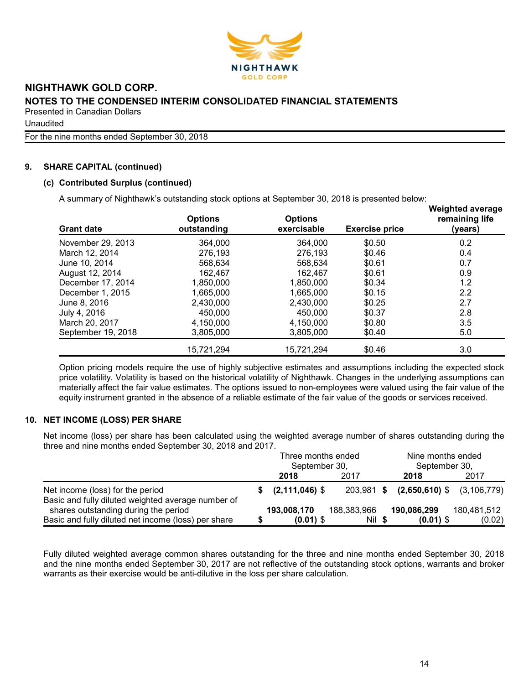

Unaudited

For the nine months ended September 30, 2018

#### 9. SHARE CAPITAL (continued)

## (c) Contributed Surplus (continued)

A summary of Nighthawk's outstanding stock options at September 30, 2018 is presented below:

| <b>Grant date</b>  | <b>Options</b><br>outstanding | <b>Options</b><br>exercisable | <b>Exercise price</b> | <b>Weighted average</b><br>remaining life<br>(years) |
|--------------------|-------------------------------|-------------------------------|-----------------------|------------------------------------------------------|
| November 29, 2013  | 364,000                       | 364,000                       | \$0.50                | 0.2                                                  |
| March 12, 2014     | 276.193                       | 276,193                       | \$0.46                | 0.4                                                  |
| June 10, 2014      | 568.634                       | 568.634                       | \$0.61                | 0.7                                                  |
| August 12, 2014    | 162,467                       | 162,467                       | \$0.61                | 0.9                                                  |
| December 17, 2014  | 1,850,000                     | 1.850.000                     | \$0.34                | 1.2                                                  |
| December 1, 2015   | 1,665,000                     | 1,665,000                     | \$0.15                | 2.2                                                  |
| June 8, 2016       | 2,430,000                     | 2,430,000                     | \$0.25                | 2.7                                                  |
| July 4, 2016       | 450,000                       | 450,000                       | \$0.37                | 2.8                                                  |
| March 20, 2017     | 4,150,000                     | 4,150,000                     | \$0.80                | 3.5                                                  |
| September 19, 2018 | 3,805,000                     | 3,805,000                     | \$0.40                | 5.0                                                  |
|                    | 15,721,294                    | 15,721,294                    | \$0.46                | 3.0                                                  |

Option pricing models require the use of highly subjective estimates and assumptions including the expected stock price volatility. Volatility is based on the historical volatility of Nighthawk. Changes in the underlying assumptions can materially affect the fair value estimates. The options issued to non-employees were valued using the fair value of the equity instrument granted in the absence of a reliable estimate of the fair value of the goods or services received.

## 10. NET INCOME (LOSS) PER SHARE

Net income (loss) per share has been calculated using the weighted average number of shares outstanding during the three and nine months ended September 30, 2018 and 2017.

|                                                                                        | Three months ended<br>September 30, |             |  | Nine months ended<br>September 30,    |             |  |
|----------------------------------------------------------------------------------------|-------------------------------------|-------------|--|---------------------------------------|-------------|--|
|                                                                                        | 2018                                | 2017        |  | 2018                                  | 2017        |  |
| Net income (loss) for the period<br>Basic and fully diluted weighted average number of | $(2,111,046)$ \$                    |             |  | 203,981 \$ (2,650,610) \$ (3,106,779) |             |  |
| shares outstanding during the period                                                   | 193,008,170                         | 188,383,966 |  | 190,086,299                           | 180,481,512 |  |
| Basic and fully diluted net income (loss) per share                                    | $(0.01)$ \$                         | Nil \$      |  | $(0.01)$ \$                           | (0.02)      |  |

Fully diluted weighted average common shares outstanding for the three and nine months ended September 30, 2018 and the nine months ended September 30, 2017 are not reflective of the outstanding stock options, warrants and broker warrants as their exercise would be anti-dilutive in the loss per share calculation.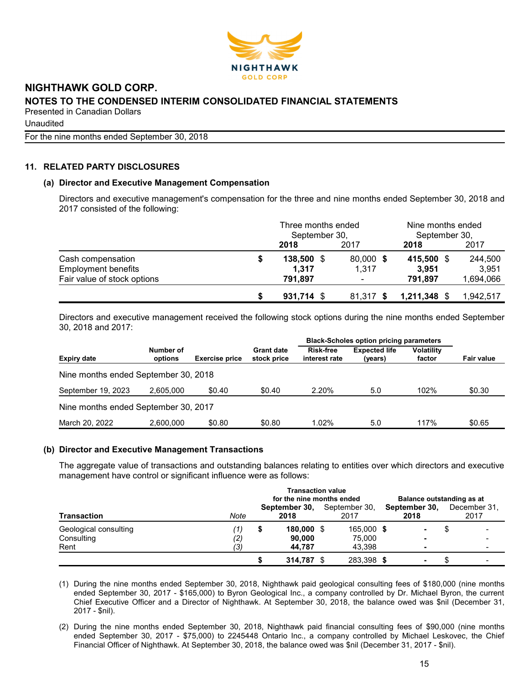

**Unaudited** 

For the nine months ended September 30, 2018

## 11. RELATED PARTY DISCLOSURES

#### (a) Director and Executive Management Compensation

Directors and executive management's compensation for the three and nine months ended September 30, 2018 and 2017 consisted of the following:

|                             | Three months ended<br>September 30, |           | Nine months ended<br>September 30, |           |  |
|-----------------------------|-------------------------------------|-----------|------------------------------------|-----------|--|
|                             | 2018                                | 2017      | 2018                               | 2017      |  |
| Cash compensation           | 138,500 \$                          | 80,000 \$ | 415,500 \$                         | 244,500   |  |
| <b>Employment benefits</b>  | 1,317                               | 1.317     | 3.951                              | 3,951     |  |
| Fair value of stock options | 791,897                             |           | 791,897                            | 1,694,066 |  |
|                             | $931,714$ \$                        | 81.317 \$ | $1,211,348$ \$                     | 1,942,517 |  |

Directors and executive management received the following stock options during the nine months ended September 30, 2018 and 2017:

|                                      |                      |                       |                                  | <b>Black-Scholes option pricing parameters</b> |                                 |                             |                   |
|--------------------------------------|----------------------|-----------------------|----------------------------------|------------------------------------------------|---------------------------------|-----------------------------|-------------------|
| <b>Expiry date</b>                   | Number of<br>options | <b>Exercise price</b> | <b>Grant date</b><br>stock price | <b>Risk-free</b><br>interest rate              | <b>Expected life</b><br>(years) | <b>Volatility</b><br>factor | <b>Fair value</b> |
| Nine months ended September 30, 2018 |                      |                       |                                  |                                                |                                 |                             |                   |
| September 19, 2023                   | 2.605.000            | \$0.40                | \$0.40                           | 2.20%                                          | 5.0                             | 102%                        | \$0.30            |
| Nine months ended September 30, 2017 |                      |                       |                                  |                                                |                                 |                             |                   |
| March 20, 2022                       | 2.600.000            | \$0.80                | \$0.80                           | 1.02%                                          | 5.0                             | 117%                        | \$0.65            |

#### (b) Director and Executive Management Transactions

The aggregate value of transactions and outstanding balances relating to entities over which directors and executive management have control or significant influence were as follows:

| Transaction                         | <b>Transaction value</b><br>for the nine months ended<br>Balance outstanding as at |   |                       |  |                       |  |                       |    |                      |
|-------------------------------------|------------------------------------------------------------------------------------|---|-----------------------|--|-----------------------|--|-----------------------|----|----------------------|
|                                     | Note                                                                               |   | September 30,<br>2018 |  | September 30,<br>2017 |  | September 30,<br>2018 |    | December 31.<br>2017 |
| Geological consulting<br>Consulting | 7)<br>(2)                                                                          | S | 180,000 \$<br>90.000  |  | 165,000 \$<br>75.000  |  | ۰<br>$\blacksquare$   | ۰D |                      |
| Rent                                | ′3)                                                                                |   | 44.787<br>314.787     |  | 43.398<br>283,398 \$  |  | -<br>۰                |    |                      |

(1) During the nine months ended September 30, 2018, Nighthawk paid geological consulting fees of \$180,000 (nine months ended September 30, 2017 - \$165,000) to Byron Geological Inc., a company controlled by Dr. Michael Byron, the current Chief Executive Officer and a Director of Nighthawk. At September 30, 2018, the balance owed was \$nil (December 31, 2017 - \$nil).

(2) During the nine months ended September 30, 2018, Nighthawk paid financial consulting fees of \$90,000 (nine months ended September 30, 2017 - \$75,000) to 2245448 Ontario Inc., a company controlled by Michael Leskovec, the Chief Financial Officer of Nighthawk. At September 30, 2018, the balance owed was \$nil (December 31, 2017 - \$nil).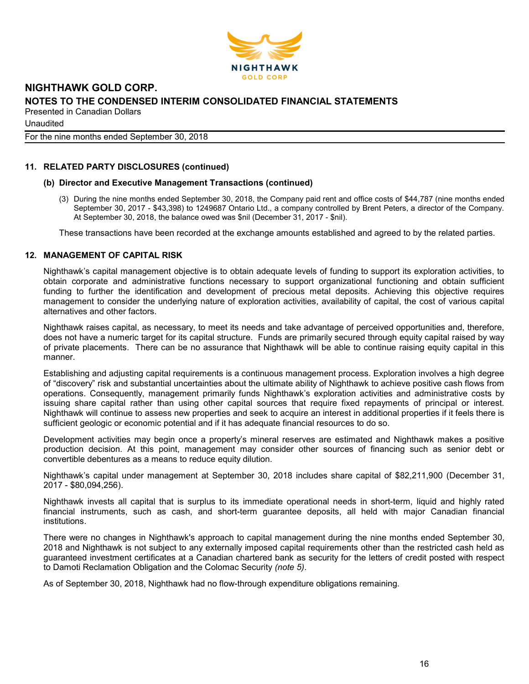

**Unaudited** 

For the nine months ended September 30, 2018

## 11. RELATED PARTY DISCLOSURES (continued)

#### (b) Director and Executive Management Transactions (continued)

(3) During the nine months ended September 30, 2018, the Company paid rent and office costs of \$44,787 (nine months ended September 30, 2017 - \$43,398) to 1249687 Ontario Ltd., a company controlled by Brent Peters, a director of the Company. At September 30, 2018, the balance owed was \$nil (December 31, 2017 - \$nil).

These transactions have been recorded at the exchange amounts established and agreed to by the related parties.

#### 12. MANAGEMENT OF CAPITAL RISK

Nighthawk's capital management objective is to obtain adequate levels of funding to support its exploration activities, to obtain corporate and administrative functions necessary to support organizational functioning and obtain sufficient funding to further the identification and development of precious metal deposits. Achieving this objective requires management to consider the underlying nature of exploration activities, availability of capital, the cost of various capital alternatives and other factors.

Nighthawk raises capital, as necessary, to meet its needs and take advantage of perceived opportunities and, therefore, does not have a numeric target for its capital structure. Funds are primarily secured through equity capital raised by way of private placements. There can be no assurance that Nighthawk will be able to continue raising equity capital in this manner.

Establishing and adjusting capital requirements is a continuous management process. Exploration involves a high degree of "discovery" risk and substantial uncertainties about the ultimate ability of Nighthawk to achieve positive cash flows from operations. Consequently, management primarily funds Nighthawk's exploration activities and administrative costs by issuing share capital rather than using other capital sources that require fixed repayments of principal or interest. Nighthawk will continue to assess new properties and seek to acquire an interest in additional properties if it feels there is sufficient geologic or economic potential and if it has adequate financial resources to do so.

Development activities may begin once a property's mineral reserves are estimated and Nighthawk makes a positive production decision. At this point, management may consider other sources of financing such as senior debt or convertible debentures as a means to reduce equity dilution.

Nighthawk's capital under management at September 30, 2018 includes share capital of \$82,211,900 (December 31, 2017 - \$80,094,256).

Nighthawk invests all capital that is surplus to its immediate operational needs in short-term, liquid and highly rated financial instruments, such as cash, and short-term guarantee deposits, all held with major Canadian financial institutions.

There were no changes in Nighthawk's approach to capital management during the nine months ended September 30, 2018 and Nighthawk is not subject to any externally imposed capital requirements other than the restricted cash held as guaranteed investment certificates at a Canadian chartered bank as security for the letters of credit posted with respect to Damoti Reclamation Obligation and the Colomac Security (note 5).

As of September 30, 2018, Nighthawk had no flow-through expenditure obligations remaining.